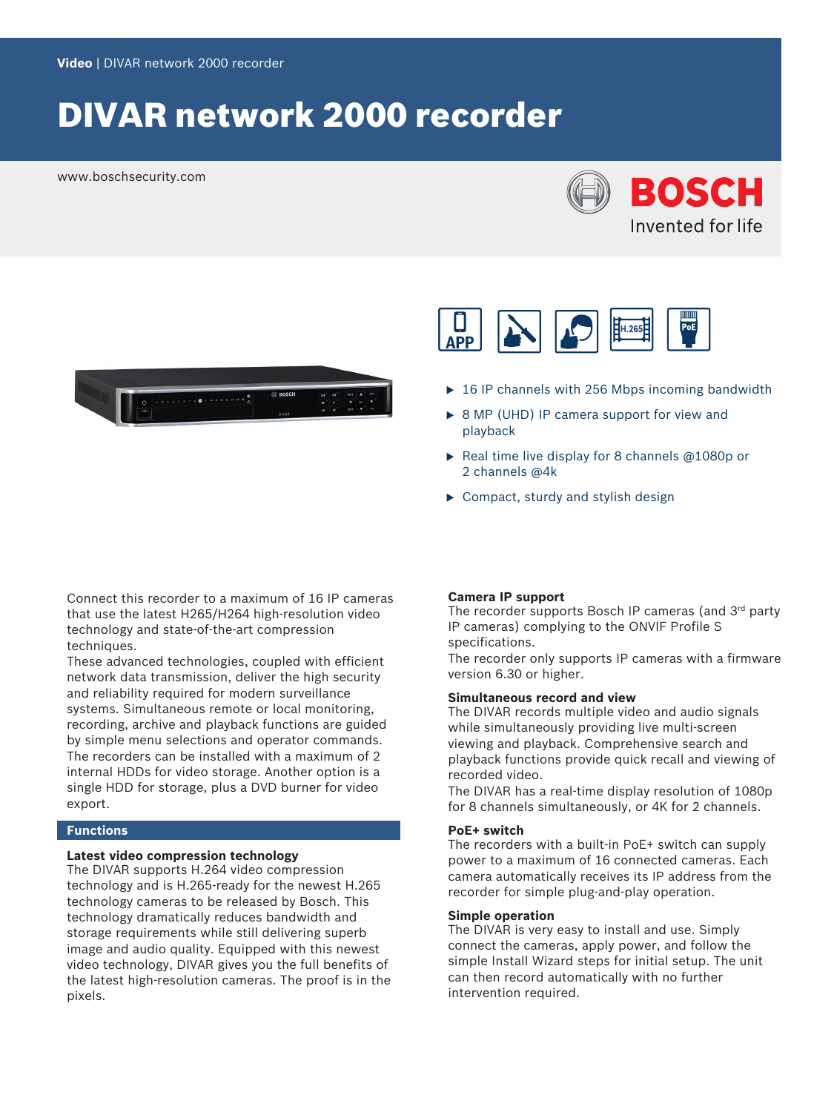# DIVAR network 2000 recorder

www.boschsecurity.com







- $\triangleright$  16 IP channels with 256 Mbps incoming bandwidth
- $\triangleright$  8 MP (UHD) IP camera support for view and playback
- Real time live display for 8 channels  $@1080p$  or 2 channels @4k
- $\blacktriangleright$  Compact, sturdy and stylish design

Connect this recorder to a maximum of 16 IP cameras that use the latest H265/H264 high-resolution video technology and state-of-the-art compression techniques.

These advanced technologies, coupled with efficient network data transmission, deliver the high security and reliability required for modern surveillance systems. Simultaneous remote or local monitoring, recording, archive and playback functions are guided by simple menu selections and operator commands. The recorders can be installed with a maximum of 2 internal HDDs for video storage. Another option is a single HDD for storage, plus a DVD burner for video export.

#### **Functions**

#### **Latest video compression technology**

The DIVAR supports H.264 video compression technology and is H.265-ready for the newest H.265 technology cameras to be released by Bosch. This technology dramatically reduces bandwidth and storage requirements while still delivering superb image and audio quality. Equipped with this newest video technology, DIVAR gives you the full benefits of the latest high-resolution cameras. The proof is in the pixels.

#### **Camera IP support**

The recorder supports Bosch IP cameras (and 3<sup>rd</sup> party IP cameras) complying to the ONVIF Profile S specifications.

The recorder only supports IP cameras with a firmware version 6.30 or higher.

#### **Simultaneous record and view**

The DIVAR records multiple video and audio signals while simultaneously providing live multi-screen viewing and playback. Comprehensive search and playback functions provide quick recall and viewing of recorded video.

The DIVAR has a real-time display resolution of 1080p for 8 channels simultaneously, or 4K for 2 channels.

#### **PoE+ switch**

The recorders with a built-in PoE+ switch can supply power to a maximum of 16 connected cameras. Each camera automatically receives its IP address from the recorder for simple plug-and-play operation.

#### **Simple operation**

The DIVAR is very easy to install and use. Simply connect the cameras, apply power, and follow the simple Install Wizard steps for initial setup. The unit can then record automatically with no further intervention required.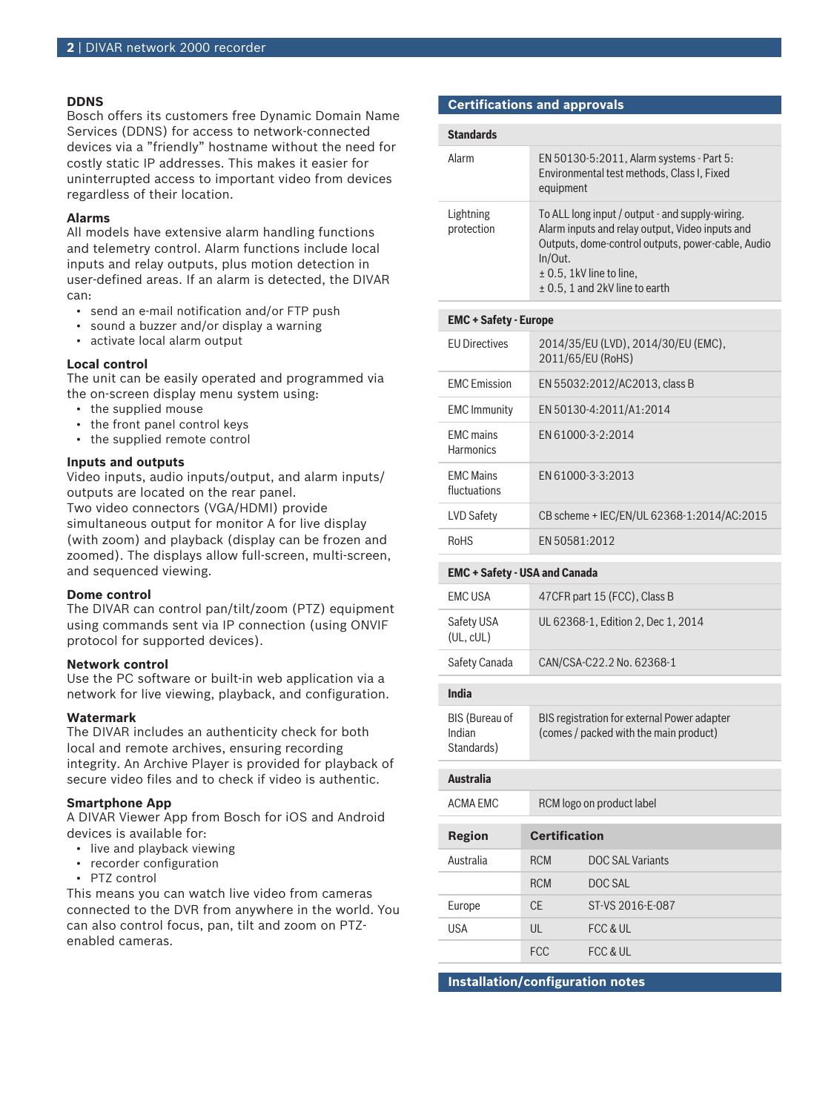#### **DDNS**

Bosch offers its customers free Dynamic Domain Name Services (DDNS) for access to network-connected devices via a "friendly" hostname without the need for costly static IP addresses. This makes it easier for uninterrupted access to important video from devices regardless of their location.

#### **Alarms**

All models have extensive alarm handling functions and telemetry control. Alarm functions include local inputs and relay outputs, plus motion detection in user-defined areas. If an alarm is detected, the DIVAR can:

- send an e-mail notification and/or FTP push
- sound a buzzer and/or display a warning
- activate local alarm output

#### **Local control**

The unit can be easily operated and programmed via the on-screen display menu system using:

- the supplied mouse
- the front panel control keys
- the supplied remote control

#### **Inputs and outputs**

Video inputs, audio inputs/output, and alarm inputs/ outputs are located on the rear panel. Two video connectors (VGA/HDMI) provide

simultaneous output for monitor A for live display (with zoom) and playback (display can be frozen and zoomed). The displays allow full-screen, multi-screen, and sequenced viewing.

#### **Dome control**

The DIVAR can control pan/tilt/zoom (PTZ) equipment using commands sent via IP connection (using ONVIF protocol for supported devices).

#### **Network control**

Use the PC software or built-in web application via a network for live viewing, playback, and configuration.

#### **Watermark**

The DIVAR includes an authenticity check for both local and remote archives, ensuring recording integrity. An Archive Player is provided for playback of secure video files and to check if video is authentic.

#### **Smartphone App**

A DIVAR Viewer App from Bosch for iOS and Android devices is available for:

- live and playback viewing
- recorder configuration
- PTZ control

This means you can watch live video from cameras connected to the DVR from anywhere in the world. You can also control focus, pan, tilt and zoom on PTZenabled cameras.

#### **Certifications and approvals**

| <b>Standards</b>        |                                                                                                                                                                                                                                          |
|-------------------------|------------------------------------------------------------------------------------------------------------------------------------------------------------------------------------------------------------------------------------------|
| Alarm                   | EN 50130-5:2011, Alarm systems - Part 5:<br>Environmental test methods, Class I, Fixed<br>equipment                                                                                                                                      |
| Lightning<br>protection | To ALL long input / output - and supply-wiring.<br>Alarm inputs and relay output, Video inputs and<br>Outputs, dome-control outputs, power-cable, Audio<br>In/Out.<br>$\pm$ 0.5, 1kV line to line,<br>$\pm$ 0.5, 1 and 2kV line to earth |

| $ENU - SaleV - Europe$               |                                                          |  |
|--------------------------------------|----------------------------------------------------------|--|
| <b>FU Directives</b>                 | 2014/35/EU (LVD), 2014/30/EU (EMC),<br>2011/65/EU (RoHS) |  |
| <b>EMC</b> Emission                  | EN 55032:2012/AC2013, class B                            |  |
| <b>EMC</b> Immunity                  | EN 50130-4:2011/A1:2014                                  |  |
| <b>FMC</b> mains<br><b>Harmonics</b> | EN 61000-3-2:2014                                        |  |
| <b>FMC Mains</b><br>fluctuations     | EN 61000-3-3:2013                                        |  |
| LVD Safety                           | CB scheme + IEC/EN/UL 62368-1:2014/AC:2015               |  |
| <b>RoHS</b>                          | EN 50581:2012                                            |  |

#### **EMC + Safety - USA and Canada**

**EMC + Safety - Europe**

| India                   |                                    |
|-------------------------|------------------------------------|
| Safety Canada           | CAN/CSA-C22.2 No. 62368-1          |
| Safety USA<br>(UL, cUL) | UL 62368-1, Edition 2, Dec 1, 2014 |
| <b>FMCUSA</b>           | 47 CFR part 15 (FCC), Class B      |

| BIS (Bureau of | BIS registration for external Power adapter |
|----------------|---------------------------------------------|
| Indian         | (comes / packed with the main product)      |
| Standards)     |                                             |

#### **Australia**

| ACMA FMC  |              | RCM logo on product label |  |
|-----------|--------------|---------------------------|--|
| Region    |              | <b>Certification</b>      |  |
| Australia | <b>RCM</b>   | DOC SAL Variants          |  |
|           | <b>RCM</b>   | DOC SAL                   |  |
| Europe    | <b>CE</b>    | ST-VS 2016-F-087          |  |
| USA       | $\mathsf{U}$ | FCC & UL                  |  |
|           | <b>FCC</b>   | FCC & UL                  |  |

**Installation/configuration notes**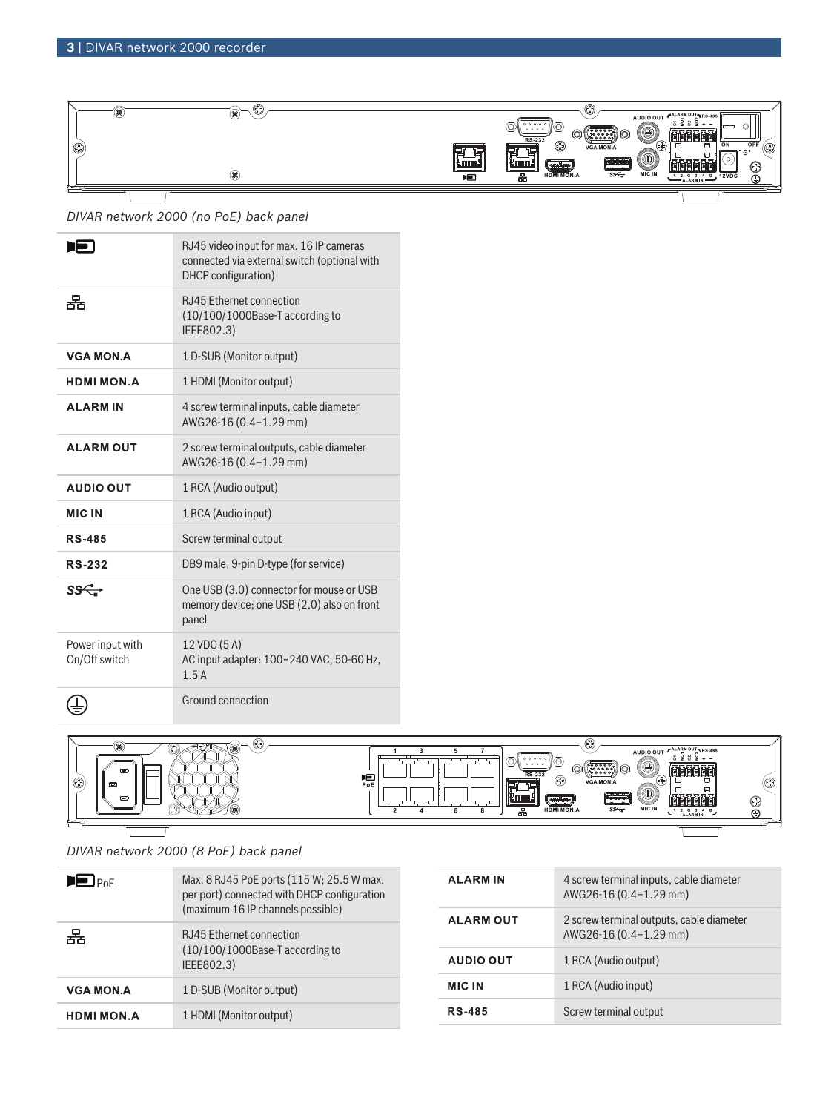

*DIVAR network 2000 (no PoE) back panel*

|                                   | RJ45 video input for max. 16 IP cameras<br>connected via external switch (optional with<br>DHCP configuration) |
|-----------------------------------|----------------------------------------------------------------------------------------------------------------|
| 果                                 | <b>RJ45 Ethernet connection</b><br>(10/100/1000Base-T according to<br>IEEE802.3)                               |
| <b>VGA MON.A</b>                  | 1 D-SUB (Monitor output)                                                                                       |
| <b>HDMI MON.A</b>                 | 1 HDMI (Monitor output)                                                                                        |
| <b>ALARMIN</b>                    | 4 screw terminal inputs, cable diameter<br>AWG26-16 (0.4-1.29 mm)                                              |
| <b>ALARM OUT</b>                  | 2 screw terminal outputs, cable diameter<br>AWG26-16 (0.4-1.29 mm)                                             |
| <b>AUDIO OUT</b>                  | 1 RCA (Audio output)                                                                                           |
| <b>MIC IN</b>                     | 1 RCA (Audio input)                                                                                            |
|                                   |                                                                                                                |
| <b>RS-485</b>                     | Screw terminal output                                                                                          |
| <b>RS-232</b>                     | DB9 male, 9-pin D-type (for service)                                                                           |
| ss <del>⊂.</del>                  | One USB (3.0) connector for mouse or USB<br>memory device; one USB (2.0) also on front<br>panel                |
| Power input with<br>On/Off switch | 12 VDC (5A)<br>AC input adapter: 100~240 VAC, 50-60 Hz,<br>1.5A                                                |



*DIVAR network 2000 (8 PoE) back panel*

| $\blacksquare$ $_{\mathsf{PoF}}$ | Max. 8 RJ45 PoE ports (115 W; 25.5 W max.<br>per port) connected with DHCP configuration<br>(maximum 16 IP channels possible) |
|----------------------------------|-------------------------------------------------------------------------------------------------------------------------------|
| 뿜                                | RJ45 Ethernet connection<br>$(10/100/1000$ Base-T according to<br>IEEE802.3)                                                  |
| <b>VGA MON A</b>                 | 1 D-SUB (Monitor output)                                                                                                      |
| <b>HDMI MON.A</b>                | 1 HDMI (Monitor output)                                                                                                       |

| <b>ALARM IN</b>  | 4 screw terminal inputs, cable diameter<br>AWG26-16 (0.4-1.29 mm)  |
|------------------|--------------------------------------------------------------------|
| <b>ALARM OUT</b> | 2 screw terminal outputs, cable diameter<br>AWG26-16 (0.4-1.29 mm) |
| AUDIO OUT        | 1 RCA (Audio output)                                               |
| <b>MIC IN</b>    | 1 RCA (Audio input)                                                |
| <b>RS-485</b>    | Screw terminal output                                              |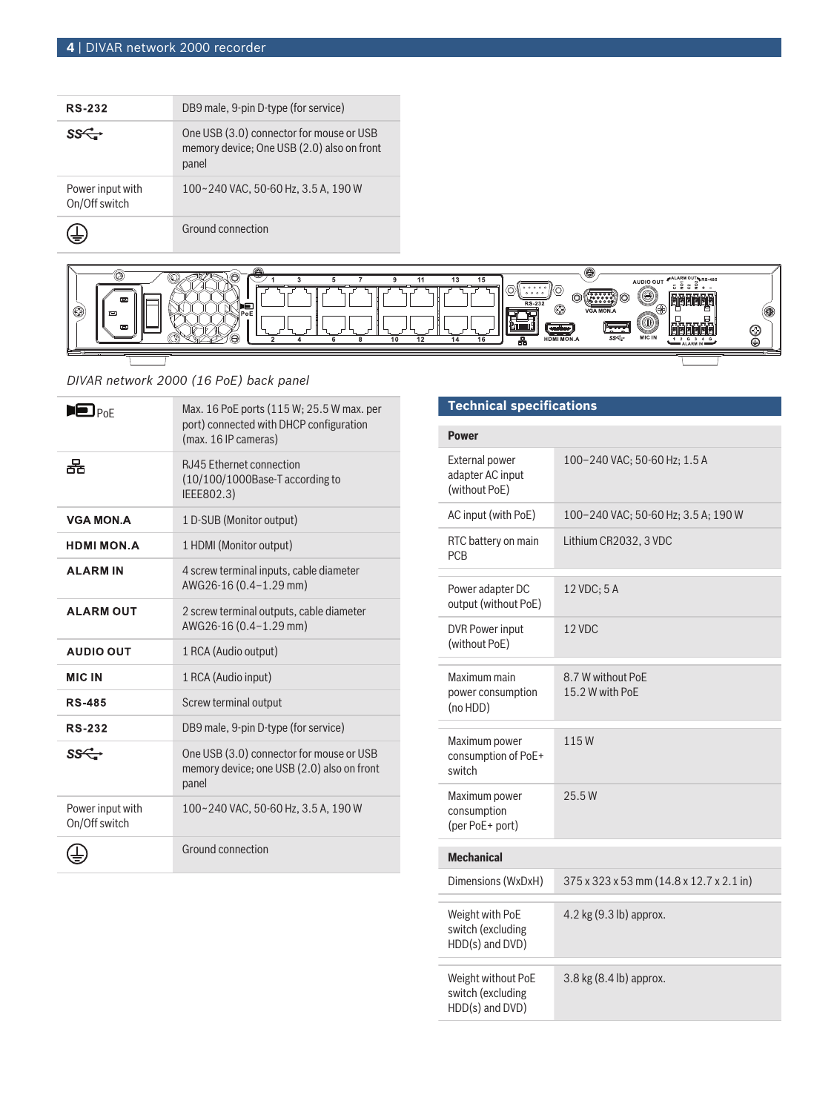| <b>RS-232</b>                     | DB9 male, 9-pin D-type (for service)                                                            |
|-----------------------------------|-------------------------------------------------------------------------------------------------|
|                                   | One USB (3.0) connector for mouse or USB<br>memory device; One USB (2.0) also on front<br>panel |
| Power input with<br>On/Off switch | 100~240 VAC, 50-60 Hz, 3.5 A, 190 W                                                             |
|                                   | Ground connection                                                                               |



# *DIVAR network 2000 (16 PoE) back panel*

| $\blacksquare$ Poe                | Max. 16 PoE ports (115 W; 25.5 W max. per<br>port) connected with DHCP configuration<br>(max. 16 IP cameras) |
|-----------------------------------|--------------------------------------------------------------------------------------------------------------|
| 果                                 | <b>RJ45 Ethernet connection</b><br>(10/100/1000Base-T according to<br>IEEE802.3)                             |
| <b>VGA MON.A</b>                  | 1 D-SUB (Monitor output)                                                                                     |
| <b>HDMI MON.A</b>                 | 1 HDMI (Monitor output)                                                                                      |
| <b>ALARMIN</b>                    | 4 screw terminal inputs, cable diameter<br>AWG26-16 (0.4-1.29 mm)                                            |
| <b>ALARM OUT</b>                  | 2 screw terminal outputs, cable diameter<br>AWG26-16 (0.4-1.29 mm)                                           |
| <b>AUDIO OUT</b>                  | 1 RCA (Audio output)                                                                                         |
| <b>MIC IN</b>                     | 1 RCA (Audio input)                                                                                          |
| <b>RS-485</b>                     | Screw terminal output                                                                                        |
| <b>RS-232</b>                     | DB9 male, 9-pin D-type (for service)                                                                         |
| ss <del>⊂.</del>                  | One USB (3.0) connector for mouse or USB<br>memory device; one USB (2.0) also on front<br>panel              |
| Power input with<br>On/Off switch | 100~240 VAC, 50-60 Hz, 3.5 A, 190 W                                                                          |
|                                   | Ground connection                                                                                            |

# **Technical specifications**

| <b>Power</b>                                               |                                          |  |
|------------------------------------------------------------|------------------------------------------|--|
| <b>External power</b><br>adapter AC input<br>(without PoE) | 100-240 VAC; 50-60 Hz; 1.5 A             |  |
| AC input (with PoE)                                        | 100-240 VAC; 50-60 Hz; 3.5 A; 190 W      |  |
| RTC battery on main<br><b>PCB</b>                          | Lithium CR2032, 3 VDC                    |  |
| Power adapter DC<br>output (without PoE)                   | 12 VDC; 5 A                              |  |
| <b>DVR Power input</b><br>(without PoE)                    | 12 VDC                                   |  |
| Maximum main<br>power consumption<br>(no HDD)              | 8.7 W without PoE<br>15.2 W with PoE     |  |
| Maximum power<br>consumption of PoE+<br>switch             | 115W                                     |  |
| Maximum power<br>consumption<br>(per PoE+ port)            | 25.5W                                    |  |
| <b>Mechanical</b>                                          |                                          |  |
| Dimensions (WxDxH)                                         | 375 x 323 x 53 mm (14.8 x 12.7 x 2.1 in) |  |
| Weight with PoE<br>switch (excluding<br>HDD(s) and DVD)    | 4.2 kg (9.3 lb) approx.                  |  |
| Weight without PoE<br>switch (excluding<br>HDD(s) and DVD) | 3.8 kg (8.4 lb) approx.                  |  |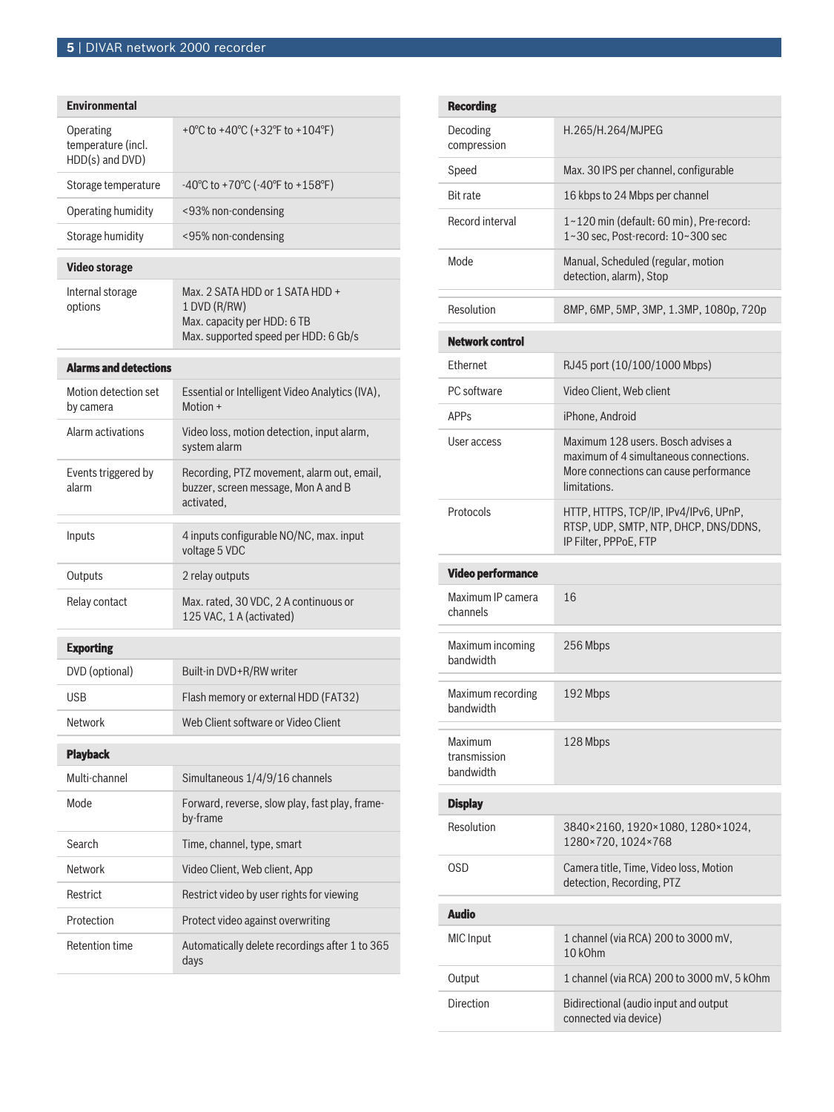| <b>Environmental</b>                               |                                                                                                                        |  |
|----------------------------------------------------|------------------------------------------------------------------------------------------------------------------------|--|
| Operating<br>temperature (incl.<br>HDD(s) and DVD) | +0°C to +40°C (+32°F to +104°F)                                                                                        |  |
| Storage temperature                                | $-40^{\circ}$ C to +70 $^{\circ}$ C ( $-40^{\circ}$ F to +158 $^{\circ}$ F)                                            |  |
| Operating humidity                                 | <93% non-condensing                                                                                                    |  |
| Storage humidity                                   | <95% non-condensing                                                                                                    |  |
| <b>Video storage</b>                               |                                                                                                                        |  |
| Internal storage<br>options                        | Max. 2 SATA HDD or 1 SATA HDD +<br>1 DVD (R/RW)<br>Max. capacity per HDD: 6 TB<br>Max. supported speed per HDD: 6 Gb/s |  |
| <b>Alarms and detections</b>                       |                                                                                                                        |  |
| Motion detection set<br>by camera                  | Essential or Intelligent Video Analytics (IVA),<br>Motion +                                                            |  |
| Alarm activations                                  | Video loss, motion detection, input alarm,<br>system alarm                                                             |  |
| Events triggered by<br>alarm                       | Recording, PTZ movement, alarm out, email,<br>buzzer, screen message, Mon A and B<br>activated.                        |  |
| Inputs                                             | 4 inputs configurable NO/NC, max. input<br>voltage 5 VDC                                                               |  |
| Outputs                                            | 2 relay outputs                                                                                                        |  |
| Relay contact                                      | Max. rated, 30 VDC, 2 A continuous or<br>125 VAC, 1 A (activated)                                                      |  |
| <b>Exporting</b>                                   |                                                                                                                        |  |
| DVD (optional)                                     | Built-in DVD+R/RW writer                                                                                               |  |
| USB                                                | Flash memory or external HDD (FAT32)                                                                                   |  |
| Network                                            | Web Client software or Video Client                                                                                    |  |
| <b>Playback</b>                                    |                                                                                                                        |  |
| Multi-channel                                      | Simultaneous 1/4/9/16 channels                                                                                         |  |
| Mode                                               | Forward, reverse, slow play, fast play, frame-<br>by-frame                                                             |  |
| Search                                             | Time, channel, type, smart                                                                                             |  |
| <b>Network</b>                                     | Video Client, Web client, App                                                                                          |  |
| Restrict                                           | Restrict video by user rights for viewing                                                                              |  |
| Protection                                         | Protect video against overwriting                                                                                      |  |
| <b>Retention time</b>                              | Automatically delete recordings after 1 to 365<br>days                                                                 |  |

|                        | <b>Recording</b>                     |                                                                                                                                        |
|------------------------|--------------------------------------|----------------------------------------------------------------------------------------------------------------------------------------|
|                        | Decoding<br>compression              | H.265/H.264/MJPEG                                                                                                                      |
|                        | Speed                                | Max. 30 IPS per channel, configurable                                                                                                  |
|                        | <b>Bit rate</b>                      | 16 kbps to 24 Mbps per channel                                                                                                         |
|                        | Record interval                      | 1~120 min (default: 60 min), Pre-record:<br>1~30 sec, Post-record: 10~300 sec                                                          |
|                        | Mode                                 | Manual, Scheduled (regular, motion<br>detection, alarm), Stop                                                                          |
|                        | Resolution                           | 8MP, 6MP, 5MP, 3MP, 1.3MP, 1080p, 720p                                                                                                 |
| <b>Network control</b> |                                      |                                                                                                                                        |
|                        | <b>Fthernet</b>                      | RJ45 port (10/100/1000 Mbps)                                                                                                           |
|                        | PC software                          | Video Client, Web client                                                                                                               |
|                        | <b>APP<sub>S</sub></b>               | iPhone, Android                                                                                                                        |
|                        | User access                          | Maximum 128 users. Bosch advises a<br>maximum of 4 simultaneous connections.<br>More connections can cause performance<br>limitations. |
|                        | Protocols                            | HTTP, HTTPS, TCP/IP, IPv4/IPv6, UPnP,<br>RTSP, UDP, SMTP, NTP, DHCP, DNS/DDNS,<br>IP Filter, PPPoE, FTP                                |
|                        |                                      |                                                                                                                                        |
|                        | <b>Video performance</b>             |                                                                                                                                        |
|                        | Maximum IP camera<br>channels        | 16                                                                                                                                     |
|                        | Maximum incoming<br>bandwidth        | 256 Mbps                                                                                                                               |
|                        | Maximum recording<br>bandwidth       | 192 Mbps                                                                                                                               |
|                        | Maximum<br>transmission<br>handwidth | 128 Mbps                                                                                                                               |
|                        | <b>Display</b>                       |                                                                                                                                        |
|                        | Resolution                           | 3840×2160, 1920×1080, 1280×1024,<br>1280×720, 1024×768                                                                                 |
|                        | OSD                                  | Camera title, Time, Video loss, Motion<br>detection, Recording, PTZ                                                                    |
|                        | <b>Audio</b>                         |                                                                                                                                        |
|                        | <b>MIC</b> Input                     | 1 channel (via RCA) 200 to 3000 mV,<br>10 kOhm                                                                                         |
|                        | Output                               | 1 channel (via RCA) 200 to 3000 mV, 5 kOhm                                                                                             |
|                        | Direction                            | Bidirectional (audio input and output<br>connected via device)                                                                         |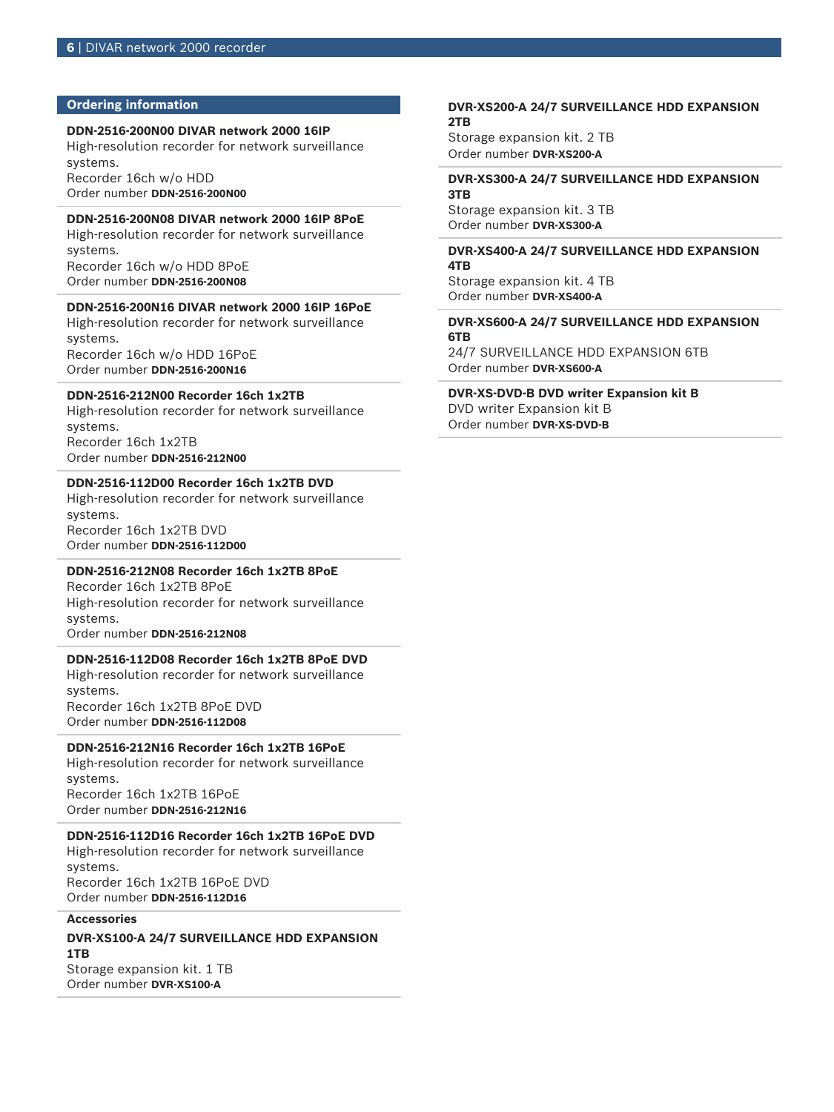#### **Ordering information**

#### **DDN-2516-200N00 DIVAR network 2000 16IP**

High-resolution recorder for network surveillance systems.

Recorder 16ch w/o HDD Order number **DDN-2516-200N00**

#### **DDN-2516-200N08 DIVAR network 2000 16IP 8PoE**

High-resolution recorder for network surveillance systems. Recorder 16ch w/o HDD 8PoE

Order number **DDN-2516-200N08**

#### **DDN-2516-200N16 DIVAR network 2000 16IP 16PoE**

High-resolution recorder for network surveillance systems. Recorder 16ch w/o HDD 16PoE Order number **DDN-2516-200N16**

#### **DDN-2516-212N00 Recorder 16ch 1x2TB**

High-resolution recorder for network surveillance systems. Recorder 16ch 1x2TB

Order number **DDN-2516-212N00**

### **DDN-2516-112D00 Recorder 16ch 1x2TB DVD**

High-resolution recorder for network surveillance systems. Recorder 16ch 1x2TB DVD Order number **DDN-2516-112D00**

#### **DDN-2516-212N08 Recorder 16ch 1x2TB 8PoE**

Recorder 16ch 1x2TB 8PoE High-resolution recorder for network surveillance systems. Order number **DDN-2516-212N08**

#### **DDN-2516-112D08 Recorder 16ch 1x2TB 8PoE DVD**

High-resolution recorder for network surveillance systems. Recorder 16ch 1x2TB 8PoE DVD

Order number **DDN-2516-112D08**

#### **DDN-2516-212N16 Recorder 16ch 1x2TB 16PoE**

High-resolution recorder for network surveillance systems. Recorder 16ch 1x2TB 16PoE Order number **DDN-2516-212N16**

### **DDN-2516-112D16 Recorder 16ch 1x2TB 16PoE DVD**

High-resolution recorder for network surveillance systems. Recorder 16ch 1x2TB 16PoE DVD Order number **DDN-2516-112D16**

#### **Accessories**

#### **DVR-XS100-A 24/7 SURVEILLANCE HDD EXPANSION 1TB** Storage expansion kit. 1 TB

Order number **DVR-XS100-A**

#### **DVR-XS200-A 24/7 SURVEILLANCE HDD EXPANSION 2TB**

Storage expansion kit. 2 TB Order number **DVR-XS200-A**

#### **DVR-XS300-A 24/7 SURVEILLANCE HDD EXPANSION 3TB**

Storage expansion kit. 3 TB Order number **DVR-XS300-A**

#### **DVR-XS400-A 24/7 SURVEILLANCE HDD EXPANSION 4TB**

Storage expansion kit. 4 TB Order number **DVR-XS400-A**

#### **DVR-XS600-A 24/7 SURVEILLANCE HDD EXPANSION 6TB**

24/7 SURVEILLANCE HDD EXPANSION 6TB Order number **DVR-XS600-A**

### **DVR-XS-DVD-B DVD writer Expansion kit B**

DVD writer Expansion kit B Order number **DVR-XS-DVD-B**